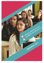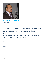

# **MESSAGE FROM THE DIRECTOR**

Dear Student,

Greetings!

On behalf of the students, Faculty members, Staff and Management of Indian Institute of Fashion Technology & IIFT College of Fashion, I take great pride in welcoming you to the IIFT fold. We appreciate your keen interest and aspiration in joining IIFT and assure you a wonderful learning experience and exposure to the amazing world of fashion.

IIFT will enable you to build a strong foundation in fashion education along with a holistic moulding and development of your personality to bring out the best of your potential.

Wishing you a Glamorous Career and a Glorious Future!

Regards

B.VEDHAGIRI

Director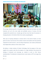# **INDIAN INSTITUTE OF FASHION TECHNOLOGY**



The average statistical growth in the global economy shows that the fashion and retail industries are by far the most stable and profitable sources of revenue. We had recognized this potential over a decade ago and have since then been the pioneers in bringing education in the fashion field to the creative young Bangalore.

After years of inspiring individuals to immerse them in the world of fashion, we have grown not only in size but also in the number of alumni and students who have positively impacted the world around us, who by being entrepreneurs and creative professionals have helped others advance in their careers as well.

We believe, in Indian Institute of Fashion Technology, that the progress of the many together has a greater value than the progress of a single individual. We promote this ideology of teamwork and encourage our students to work on their futures wholeheartedly. This dedication to being the best is what makes an IIFT'ian stronger than the rest.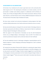## **ACHIEVEMENTS & COLLABORATIONS**

At the heart of our Institution lies the vision to give back more to the community than what we gain out of it. This reasoning has motivated us to involve ourselves, over the past decade in multiple social wellness programs in collaboration with the Ministry of Textiles, Govt. Of India, the Regional Office of the Textile Commissioner, Ministry of Small Scale Industries, and Small Industry Service Institute (MSME Development Institute) and The Government of Karnataka, Dept of Handloom & Textiles.

We have various outreach and community development training programs that helps contribute skilled professionals to the Textile and Garment Industries across our country.

We have also had the pleasure in being the first and only Fashion Technology Institute to have been sponsored by the Ministry of Defence, Government of India for resettlement training in Apparel Technology for military personnel.

With the support of the Government of Karnataka we have five Skill Development Centres set up at Belgaum,Bijapur, Chamrajanagar, Hassan and KGF. The initiative was started to provide local manpower with an alternate industry for their livelihood.

IIFT has also established a branch in Indiranagar at Bangalore, imparting Diploma and P.G Diploma programs in Fashion Designing and Boutique Management as well as weekend and short programs.

IIFT entered the Limca Book of Records (2011 Edition) for conducting the largest fashion show with 82 graduating designers showcasing 542 designs in July 2010 at Bangalore. We are also proud to say that IIFT College of Fashion students bagged the 1st and 8th Ranks in the Bangalore University examinations for B.Sc Fashion & Apparel Design & Master of Fashion Student bagged 1<sup>st</sup> Rank and secured a Gold medal in Karnataka State Women's University.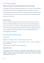# **IIFT COLLEGE OF FASHION**

### **Affiliated to Bangalore University & Recognised by the Govt. of Karnataka**

The Bangalore University, Accredited by the NAAC with an 'A' Grade, is one of the highest ranked universities in all of India. Recognized by the University Grants Commission (UGC), Bangalore University offers the best of a result driven education and opportunities to showcase their talents due to the University's proximity to one of the fastest growing economies in the country.

#### **About The Course**

The B.Sc in Fashion and Apparel Design is a well rounded UG course that involves the Theoretical and Practical applications of Fashion Design, Technology and Management. The course comprises of six semesters including, Language studies, Fashion Illustration, Textile Studies, understanding the evolution of garment making and applying the art and science of Apparel Construction & Production to the ever growing Fashion Industry, Fashion Marketing and Retailing.

## **B.SC IN FASHION & APPAREL DESIGN**

#### Course Details

Eligibility: for I semester- II PUC or 10+2 (Arts, Science or Commerce)

For III semester (Lateral entry) - 3 years diploma in ADFT / Textiles / Handlooms / Costume Designing

Duration: 3 years for Regular / 2 years for Lateral entry

#### **Scope of the Course**

A B.Sc Degree in fashion would arm a student with the knowledge to join entry level managerial positions such as Fashion Co-ordinators, Designers, Fashion Stylist, Fashion Analysts, Production Executives, Merchandisers, Pattern makers, Fashion Journalists, Photographers & Freelancers.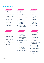# **COURSE STRUCTURE**

**Semester I**

- Language I
- $\triangleright$  English I
- Fibre& Yarn Science
- $\triangleright$  Elements of Fashion & Design
- Pattern Making & Garment Construction
- $\triangleright$  Environment and Public Health

# **Semester IV**

- Language IV
- $\triangleright$  English IV
- > History of Textiles & **Costumes**
- $\triangleright$  Textile & Apparel Testing
- $\triangleright$  Apparel Production
- $\triangleright$  Life Skills

#### **Semester II**

- $\triangleright$  Language II
- $\triangleright$  English II
- Fabric Science & Analysis
- Fashion Illustration & Design
- $\triangleright$  Pattern Making & Garment Construction- II
- $\triangleright$  Constitution of India and Human Rights Theory

## **Semester V**

- $\triangleright$  Fashion Retail, Marketing & Merchandising
- Apparel Computer Aided Design- I
- **Eashion Accessories**
- $\triangleright$  Draping
- $\triangleright$  Needle Craft
- $\triangleright$  Internship Training/craft documentation
- $\triangleright$  Banking & Finance



- $\triangleright$  Language III
- $\triangleright$  English III
- $\triangleright$  Textile Wet Processing
- Fashion Art and Design
- $\triangleright$  Pattern Making & Garment Construction- III
- $\triangleright$  Indian History, Culture and Diversity

# **Semester VI**

- Entrepreneurship Development
- Apparel Computer Aided Design- II
- Garment Surface **Ornamentation**
- $\triangleright$  Apparel Total Quality Management
- $\triangleright$  Clothing culture & communication
- Fashion Portfolio & Design Collection
- Fashion Portfolio & Design Collection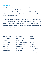## **PLACEMENTS**

The Fashion Industry is a close knit community that believes in retaining and enhancing its recruits. Over the last decade we have made ourselves an integral part of the community that provides the industry with a reliant and intelligent workforce. Indian Institute of Fashion Technology expects its students to not only be employable but also capable of providing employment.

Entrepreneurial activities are widely encouraged and we believe in providing as much encouragement and support that we can from the very beginning. Having a rich alumni association that is compassionate of the younger generations is one of our greatest prides; our students have these opportunities and people at their disposal and can avail our help at any point during and after their time with the institute.

The Industry-Institute Interaction program is an active program which results in a high ratio of placements with IIFT alumni working in leading organizations.

| <b>BLR KNITS PVT LTD.</b> | <b>LNJ APPARELS</b>        | <b>PN RAO</b>            |
|---------------------------|----------------------------|--------------------------|
| <b>UNITEX APPARELS</b>    | <b>SYNERGY FASHION</b>     | <b>ADITYA BIRLA</b>      |
| <b>LT KARLE</b>           | <b>EVERBLUE APARELS</b>    | <b>TEXPORTS</b>          |
| <b>SHAHI EXPORTS</b>      | <b>BANGALORE BABY WEAR</b> | <b>MOM AND ME</b>        |
| <b>FS FASHIONS</b>        | <b>GOKULDAS IMAGES</b>     | <b>TAMMANNA</b>          |
| <b>MANDANA</b>            | <b>INDUS LEAGUE</b>        | <b>PANTALOON</b>         |
| <b>AQUARREL</b>           | <b>SHOPPER'S STOP</b>      | <b>SAN FAB INDIA LTD</b> |
| <b>MADURA GARMENTS</b>    | <b>RENUKA SILKS</b>        | <b>K MOHAN</b>           |
| <b>HIMATASINGKA SEIDE</b> | <b>SOCH BOUTIQUE</b>       | <b>GOKALDAS EXPORTS</b>  |
| <b>PINNIUM BAGS</b>       | <b>FINNESE</b>             | <b>SPARKLES</b>          |
| <b>ANGADIA SILKS</b>      | <b>TECHNOPACK</b>          | <b>DIESEL</b>            |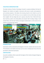# **FACILITIES & INFRASTRUCTURE**

The Indian Institute of Fashion Technology is housed in a spacious building in the heart of Bangalore city. Students are taught in classrooms with access to audio visual equipment and overhead projectors. We believe that learning should not be limited to just the theoretical and thus at IIFT, the focus is on our students to test out their ideas and make them tangible. We have design labs and a spacious shop floor that is fitted with heavy duty machinery, pattern and cutting tables and computer labs for aiding in design. A well stocked library with the best Fashion and Apparel related books is at the service of our students as and when they require.



## **EXAMINATIONS**

Examinations will be conducted by the Bangalore University. Students who have less than 75% attendance and students who have any Fee arrears including Exam Fees will not be permitted to attend the Examination.

## **CERTIFICATION**

Successful candidates will be issued with the degree of B.Sc Fashion & Apparel Design by the Bangalore University.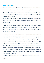## **NOTES FOR STUDENTS**

**Fees:** All Fees quoted are in Indian Rupees. The College reserves the right to change the fees at anytime. Fees once paid will not be refunded under any circumstances.

**Grievance/ Complaints:** In case of any grievance / complaints, the students / parents / guardians are welcome to put their grievance in writing and meet the concerned faculty / staff and have it readdressed.

In case they are not satisfied, they have the grievance or complaint escalated to the HOD, Principal, and finally the Director / Chairman. The decision of the Chairman will be final and binding.

Limited Liability: IIFT's liability for compensation payments to the students/parents in any case of omission/commission/ negligence/injury/damage/ grievous injury/stroke/ fatality/ and other risk, etc, will be restricted & limited to the fees paid to us on that date for that particular semester.

**Arbitration:** In case of any dispute or difference arising in respect with the Institution the same shall be settled by a sole arbitrator appointed by IIFT under the provision of the Indian Arbitration and Conciliation Act, 1996, or any amendment, modification or supplemental thereto. The venue of the arbitration proceedings shall be at Bangalore and shall be in English Language. To the extent permitted by law, the arbitrator's award shall be final and binding and the award shall be enforceable in a competent court of law.

**Declaration:** Students should abide by the rules and regulations of the College and Bangalore University. Student should undertake to study and complete all 6 semesters of the B.Sc FAD course at IIFT College of Fashion if he/she is admitted to the course and should undertake not to cancel his/her admission or discontinue his/her studies at any stage under any circumstances.

**Jurisdiction:** All disputes are subject to the jurisdiction of Bangalore City Courts only.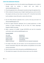## **STEPS FOR ADMISSION PROCESS:**

- 1. Download application form from the website (www.iiftbangalore.com) or obtain it through email by sending a request with your details to admissions@iiftbangalore.com.
- 2. Fill up the application form, affix passport size photo and sign the application form.
- 3. Write a statement of purpose essay in English. Explaining why you wish to enrol for this program and why you have chosen to study at IIFT. It should be hand written by the candidate in about 250 words in a plain white A4 sheet.
- 4. Scan the filled admission application form as well as the essay and email it to admissions@iiftbangalore.com.
- 5. Send the original admission application form by speed post/courier to Indian Institute of Fashion Technology, #3, 1/6, 1st Cross, M C Road, Vijayanagar, Bangalore-560079, Karnataka.
- 6. Make a payment of Rs.1000/- through NEFT/RTGS and send the transaction confirmation code to admissions@iiftbangalore.com

#### **Accounts details:**

| <b>IFSC CODE</b>    |                          | SBIN0040231                            |
|---------------------|--------------------------|----------------------------------------|
| <b>ACCOUNT NO</b>   |                          | 54030154487                            |
| <b>NAME OF BANK</b> |                          | $:$ STATE BANK OF INDIA                |
| <b>BRANCH NAME</b>  |                          | VIJAYANAGAR,                           |
| NAME OF ACCOUNT     | $\sim 1000$ km s $^{-1}$ | INDIAN INSTITUTE OF FASHION TECHNOLOGY |

- 7. On receipt of the above, you will receive a user ID and password for the online entrance examination along with model questions and guidelines for the online entrance examination.
- 8. Date of entrance exam will be intimated by email/SMS/Mobile phone call.
- 9. The student has to appear in the online entrance exam as per the schedule.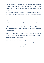- 10. Successful candidates will be intimated by a email regarding their selection and will be asked to obtain provisional admission by remitting a non refundable initial admission fee of Rs.30,000/- (which is inclusive of the total fee payable) within the date prescribed.
- 11. A provisional admission confirmation letter will be sent to the student on receipt of the above fee along with instruction for submission of original documents and balance fees.

## **NOTE FOR STUDENTS:**

A. Students who are appearing for the final year qualifying exams (Higher secondary/ II PUC/Intermediate/10+2in case of direct entry or  $3<sup>rd</sup>$  year Diploma in ADFT/Fashion/Textile/Handloom for Lateral Entry) also can apply and go through all the admission process and procedures. They can pay this initial admission fees and obtain provisional admission which will be subject to their passing the qualifying examination.

In case they fail in the qualifying exam, as well as the supplementary qualifying exam after verifying the proof of failing they will be refunded the initial fees after deducting a processing fee of Rs.10,000/-

- B. Fees once paid shall not be refunded under any circumstances.
- C. All admissions will be provisional subjected to the approval of the University/Institute and submission of all original documents and completion of the admission formalities, including paying of fees.